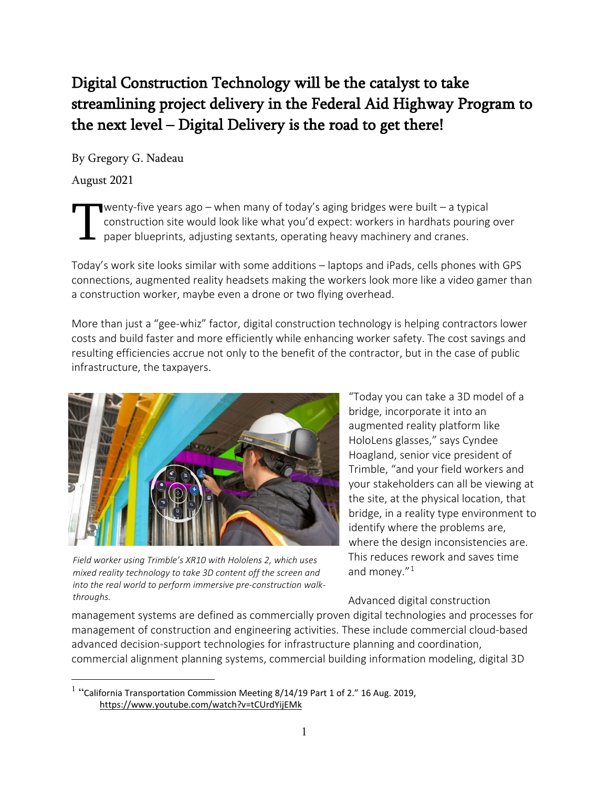# Digital Construction Technology will be the catalyst to take streamlining project delivery in the Federal Aid Highway Program to the next level – Digital Delivery is the road to get there!

By Gregory G. Nadeau

August 2021

wenty-five years ago – when many of today's aging bridges were built – a typical construction site would look like what you'd expect: workers in hardhats pouring over paper blueprints, adjusting sextants, operating heavy machinery and cranes. T

Today's work site looks similar with some additions – laptops and iPads, cells phones with GPS connections, augmented reality headsets making the workers look more like a video gamer than a construction worker, maybe even a drone or two flying overhead.

More than just a "gee-whiz" factor, digital construction technology is helping contractors lower costs and build faster and more efficiently while enhancing worker safety. The cost savings and resulting efficiencies accrue not only to the benefit of the contractor, but in the case of public infrastructure, the taxpayers.



*Field worker using Trimble's XR10 with Hololens 2, which uses mixed reality technology to take 3D content off the screen and into the real world to perform immersive pre-construction walkthroughs.*

"Today you can take a 3D model of a bridge, incorporate it into an augmented reality platform like HoloLens glasses," says Cyndee Hoagland, senior vice president of Trimble, "and your field workers and your stakeholders can all be viewing at the site, at the physical location, that bridge, in a reality type environment to identify where the problems are, where the design inconsistencies are. This reduces rework and saves time and money."[1](#page-0-0)

Advanced digital construction

management systems are defined as commercially proven digital technologies and processes for management of construction and engineering activities. These include commercial cloud-based advanced decision-support technologies for infrastructure planning and coordination, commercial alignment planning systems, commercial building information modeling, digital 3D

<span id="page-0-0"></span> $1$  "California Transportation Commission Meeting 8/14/19 Part 1 of 2." 16 Aug. 2019, <https://www.youtube.com/watch?v=tCUrdYijEMk>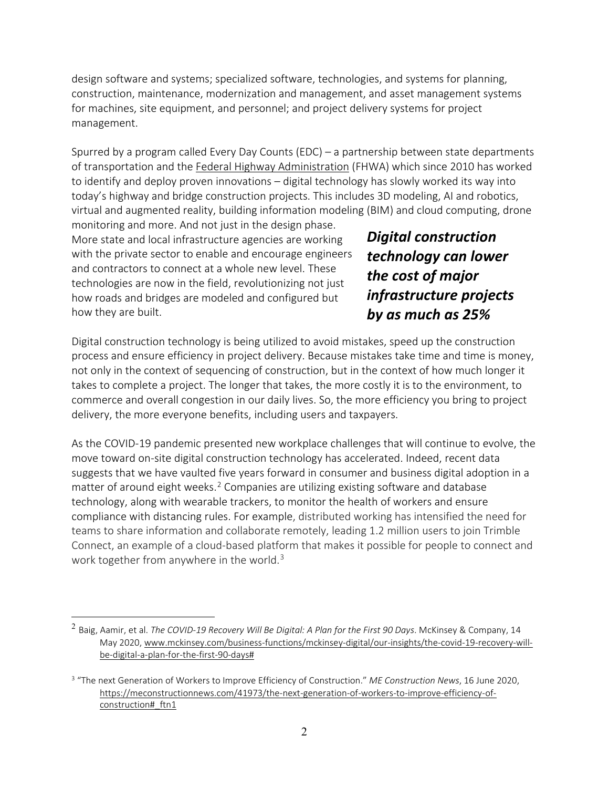design software and systems; specialized software, technologies, and systems for planning, construction, maintenance, modernization and management, and asset management systems for machines, site equipment, and personnel; and project delivery systems for project management.

Spurred by a program called Every Day Counts (EDC) – a partnership between state departments of transportation and the Federal Highway [Administration](https://highways.dot.gov/) (FHWA) which since 2010 has worked to identify and deploy proven innovations – digital technology has slowly worked its way into today's highway and bridge construction projects. This includes 3D modeling, AI and robotics, virtual and augmented reality, building information modeling (BIM) and cloud computing, drone

monitoring and more. And not just in the design phase. More state and local infrastructure agencies are working with the private sector to enable and encourage engineers and contractors to connect at a whole new level. These technologies are now in the field, revolutionizing not just how roads and bridges are modeled and configured but how they are built.

*Digital construction technology can lower the cost of major infrastructure projects by as much as 25%*

Digital construction technology is being utilized to avoid mistakes, speed up the construction process and ensure efficiency in project delivery. Because mistakes take time and time is money, not only in the context of sequencing of construction, but in the context of how much longer it takes to complete a project. The longer that takes, the more costly it is to the environment, to commerce and overall congestion in our daily lives. So, the more efficiency you bring to project delivery, the more everyone benefits, including users and taxpayers.

As the COVID-19 pandemic presented new workplace challenges that will continue to evolve, the move toward on-site digital construction technology has accelerated. Indeed, recent data suggests that we have vaulted five years forward in consumer and business digital adoption in a matter of around eight weeks.<sup>[2](#page-1-0)</sup> Companies are utilizing existing software and database technology, along with wearable trackers, to monitor the health of workers and ensure compliance with distancing rules. For example, distributed working has intensified the need for teams to share information and collaborate remotely, leading 1.2 million users to join Trimble Connect, an example of a cloud-based platform that makes it possible for people to connect and work together from anywhere in the world.<sup>3</sup>

<span id="page-1-0"></span><sup>2</sup> Baig, Aamir, et al. *The COVID-19 Recovery Will Be Digital: A Plan for the First 90 Days*. McKinsey & Company, 14 May 2020, [www.mckinsey.com/business-functions/mckinsey-digital/our-insights/the-covid-19-recovery-will](http://www.mckinsey.com/business-functions/mckinsey-digital/our-insights/the-covid-19-recovery-will-be-digital-a-plan-for-the-first-90-days)[be-digital-a-plan-for-the-first-90-days#](http://www.mckinsey.com/business-functions/mckinsey-digital/our-insights/the-covid-19-recovery-will-be-digital-a-plan-for-the-first-90-days)

<span id="page-1-1"></span><sup>3</sup> "The next Generation of Workers to Improve Efficiency of Construction." *ME Construction News*, 16 June 2020, [https://meconstructionnews.com/41973/the-next-generation-of-workers-to-improve-efficiency-of](https://meconstructionnews.com/41973/the-next-generation-of-workers-to-improve-efficiency-of-construction#_ftn1)[construction#\\_ftn1](https://meconstructionnews.com/41973/the-next-generation-of-workers-to-improve-efficiency-of-construction#_ftn1)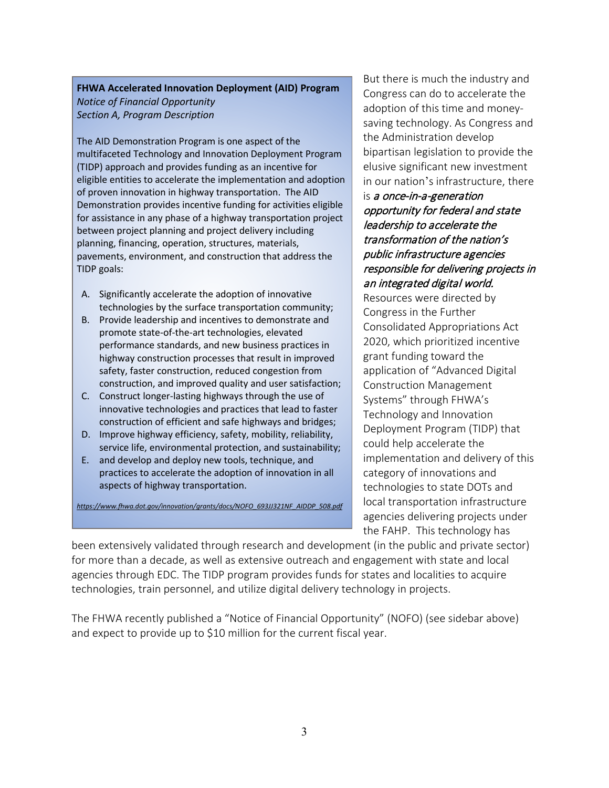#### **FHWA Accelerated Innovation Deployment (AID) Program** *Notice of Financial Opportunity Section A, Program Description*

The AID Demonstration Program is one aspect of the multifaceted Technology and Innovation Deployment Program (TIDP) approach and provides funding as an incentive for eligible entities to accelerate the implementation and adoption of proven innovation in highway transportation. The AID Demonstration provides incentive funding for activities eligible for assistance in any phase of a highway transportation project between project planning and project delivery including planning, financing, operation, structures, materials, pavements, environment, and construction that address the TIDP goals:

- A. Significantly accelerate the adoption of innovative technologies by the surface transportation community;
- B. Provide leadership and incentives to demonstrate and promote state-of-the-art technologies, elevated performance standards, and new business practices in highway construction processes that result in improved safety, faster construction, reduced congestion from construction, and improved quality and user satisfaction;
- C. Construct longer-lasting highways through the use of innovative technologies and practices that lead to faster construction of efficient and safe highways and bridges;
- D. Improve highway efficiency, safety, mobility, reliability, service life, environmental protection, and sustainability;
- E. and develop and deploy new tools, technique, and practices to accelerate the adoption of innovation in all aspects of highway transportation.

*[https://www.fhwa.dot.gov/innovation/grants/docs/NOFO\\_693JJ321NF\\_AIDDP\\_508.pdf](https://www.fhwa.dot.gov/innovation/grants/docs/NOFO_693JJ321NF_AIDDP_508.pdf)*

But there is much the industry and Congress can do to accelerate the adoption of this time and moneysaving technology. As Congress and the Administration develop bipartisan legislation to provide the elusive significant new investment in our nation's infrastructure, there

### is a once-in-a-generation opportunity for federal and state leadership to accelerate the transformation of the nation's public infrastructure agencies responsible for delivering projects in an integrated digital world.

Resources were directed by Congress in the Further Consolidated Appropriations Act 2020, which prioritized incentive grant funding toward the application of "Advanced Digital Construction Management Systems" through FHWA's Technology and Innovation Deployment Program (TIDP) that could help accelerate the implementation and delivery of this category of innovations and technologies to state DOTs and local transportation infrastructure agencies delivering projects under the FAHP. This technology has

been extensively validated through research and development (in the public and private sector) for more than a decade, as well as extensive outreach and engagement with state and local agencies through EDC. The TIDP program provides funds for states and localities to acquire technologies, train personnel, and utilize digital delivery technology in projects.

The FHWA recently published a "Notice of Financial Opportunity" (NOFO) (see sidebar above) and expect to provide up to \$10 million for the current fiscal year.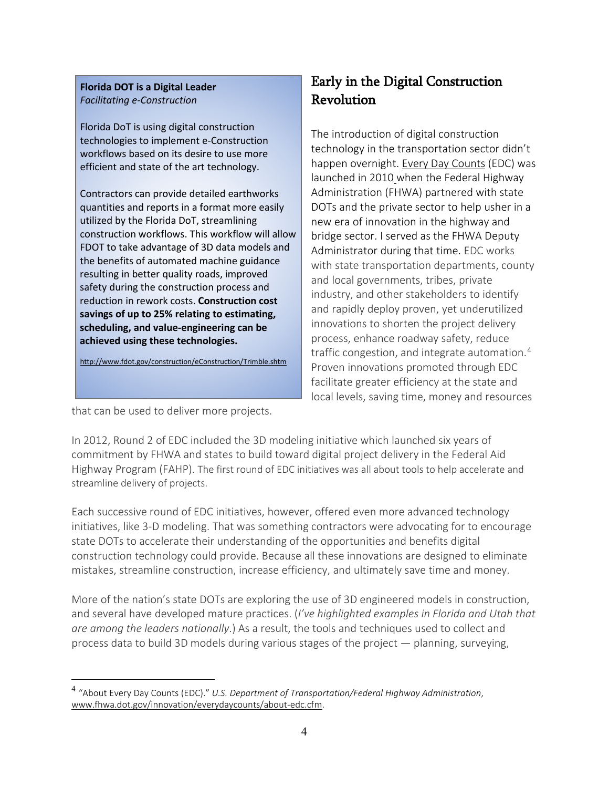#### **Florida DOT is a Digital Leader** *Facilitating e-Construction*

Florida DoT is using digital construction technologies to implement e-Construction workflows based on its desire to use more efficient and state of the art technology.

Contractors can provide detailed earthworks quantities and reports in a format more easily utilized by the Florida DoT, streamlining construction workflows. This workflow will allow FDOT to take advantage of 3D data models and the benefits of automated machine guidance resulting in better quality roads, improved safety during the construction process and reduction in rework costs. **Construction cost savings of up to 25% relating to estimating, scheduling, and value-engineering can be achieved using these technologies.**

<http://www.fdot.gov/construction/eConstruction/Trimble.shtm>

### Early in the Digital Construction Revolution

The introduction of digital construction technology in the transportation sector didn't happen overnight. Every Day [Counts](https://www.fhwa.dot.gov/innovation/everydaycounts/about-edc.cfm) (EDC) was launched in 2010 when the Federal Highway Administration (FHWA) partnered with state DOTs and the private sector to help usher in a new era of innovation in the highway and bridge sector. I served as the FHWA Deputy Administrator during that time. EDC works with state transportation departments, county and local governments, tribes, private industry, and other stakeholders to identify and rapidly deploy proven, yet underutilized innovations to shorten the project delivery process, enhance roadway safety, reduce traffic congestion, and integrate automation.<sup>[4](#page-3-0)</sup> Proven innovations promoted through EDC facilitate greater efficiency at the state and local levels, saving time, money and resources

that can be used to deliver more projects.

In 2012, Round 2 of EDC included the 3D modeling initiative which launched six years of commitment by FHWA and states to build toward digital project delivery in the Federal Aid Highway Program (FAHP). The first round of EDC initiatives was all about tools to help accelerate and streamline delivery of projects.

Each successive round of EDC initiatives, however, offered even more advanced technology initiatives, like 3-D modeling. That was something contractors were advocating for to encourage state DOTs to accelerate their understanding of the opportunities and benefits digital construction technology could provide. Because all these innovations are designed to eliminate mistakes, streamline construction, increase efficiency, and ultimately save time and money.

More of the nation's state DOTs are exploring the use of 3D engineered models in construction, and several have developed mature practices. (*I've highlighted examples in Florida and Utah that are among the leaders nationally*.) As a result, the tools and techniques used to collect and process data to build 3D models during various stages of the project — planning, surveying,

<span id="page-3-0"></span><sup>4</sup> "About Every Day Counts (EDC)." *U.S. Department of Transportation/Federal Highway Administration*, [www.fhwa.dot.gov/innovation/everydaycounts/about-edc.cfm.](http://www.fhwa.dot.gov/innovation/everydaycounts/about-edc.cfm)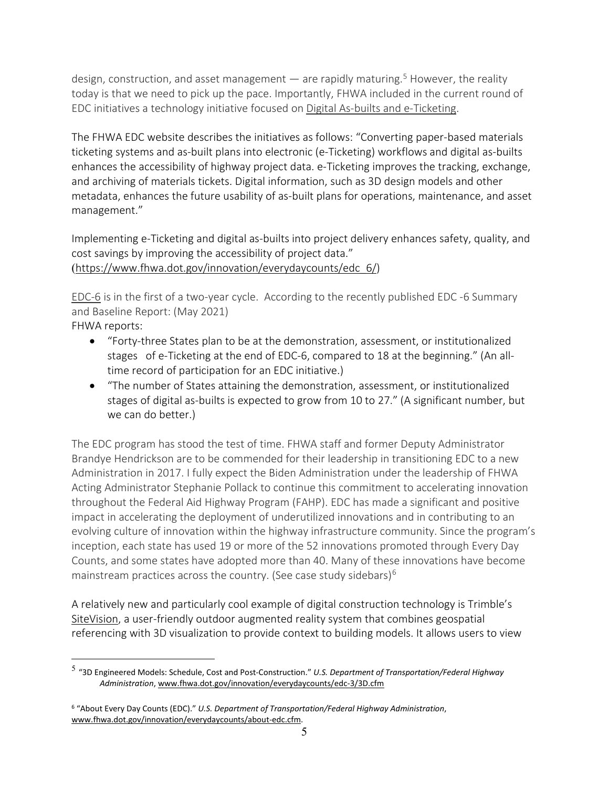design, construction, and asset management  $-$  are rapidly maturing.<sup>5</sup> However, the reality today is that we need to pick up the pace. Importantly, FHWA included in the current round of EDC initiatives a technology initiative focused on Digital As-builts and e-Ticketing.

The FHWA EDC website describes the initiatives as follows: "Converting paper-based materials ticketing systems and as-built plans into electronic (e-Ticketing) workflows and digital as-builts enhances the accessibility of highway project data. e-Ticketing improves the tracking, exchange, and archiving of materials tickets. Digital information, such as 3D design models and other metadata, enhances the future usability of as-built plans for operations, maintenance, and asset management."

Implementing e-Ticketing and digital as-builts into project delivery enhances safety, quality, and cost savings by improving the accessibility of project data." ([https://www.fhwa.dot.gov/innovation/everydaycounts/edc\\_6/\)](https://www.fhwa.dot.gov/innovation/everydaycounts/edc_6/)

EDC-6 is in the first of a two-year cycle. According to the recently published EDC -6 Summary and Baseline Report: (May 2021) FHWA reports:

- "Forty-three States plan to be at the demonstration, assessment, or institutionalized stages of e-Ticketing at the end of EDC-6, compared to 18 at the beginning." (An alltime record of participation for an EDC initiative.)
- "The number of States attaining the demonstration, assessment, or institutionalized stages of digital as-builts is expected to grow from 10 to 27." (A significant number, but we can do better.)

The EDC program has stood the test of time. FHWA staff and former Deputy Administrator Brandye Hendrickson are to be commended for their leadership in transitioning EDC to a new Administration in 2017. I fully expect the Biden Administration under the leadership of FHWA Acting Administrator Stephanie Pollack to continue this commitment to accelerating innovation throughout the Federal Aid Highway Program (FAHP). EDC has made a significant and positive impact in accelerating the deployment of underutilized innovations and in contributing to an evolving culture of innovation within the highway infrastructure community. Since the program's inception, each state has used 19 or more of the 52 innovations promoted through Every Day Counts, and some states have adopted more than 40. Many of these innovations have become mainstream practices across the country. (See case study sidebars) $6$ 

A relatively new and particularly cool example of digital construction technology is Trimble's [SiteVision,](https://sitevision.trimble.com/) a user-friendly outdoor augmented reality system that combines geospatial referencing with 3D visualization to provide context to building models. It allows users to view

<span id="page-4-0"></span><sup>5</sup> "3D Engineered Models: Schedule, Cost and Post-Construction." *U.S. Department of Transportation/Federal Highway Administration*, [www.fhwa.dot.gov/innovation/everydaycounts/edc-3/3D.cfm](http://www.fhwa.dot.gov/innovation/everydaycounts/edc-3/3D.cfm)

<span id="page-4-1"></span><sup>6</sup> "About Every Day Counts (EDC)." *U.S. Department of Transportation/Federal Highway Administration*, [www.fhwa.dot.gov/innovation/everydaycounts/about-edc.cfm.](http://www.fhwa.dot.gov/innovation/everydaycounts/about-edc.cfm)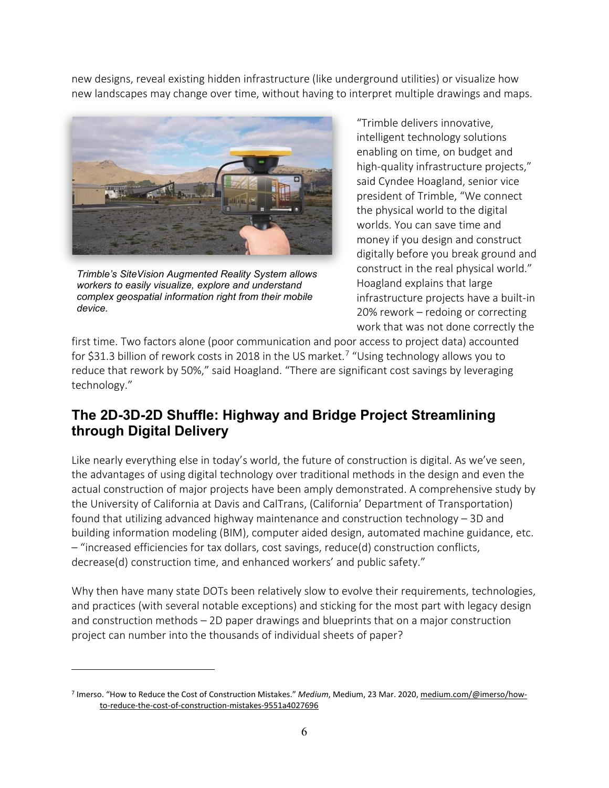new designs, reveal existing hidden infrastructure (like underground utilities) or visualize how new landscapes may change over time, without having to interpret multiple drawings and maps.



*Trimble's SiteVision Augmented Reality System allows workers to easily visualize, explore and understand complex geospatial information right from their mobile device.*

"Trimble delivers innovative, intelligent technology solutions enabling on time, on budget and high-quality infrastructure projects," said Cyndee Hoagland, senior vice president of Trimble, "We connect the physical world to the digital worlds. You can save time and money if you design and construct digitally before you break ground and construct in the real physical world." Hoagland explains that large infrastructure projects have a built-in 20% rework – redoing or correcting work that was not done correctly the

first time. Two factors alone (poor communication and poor access to project data) accounted for \$31.3 billion of rework costs in 2018 in the US market. [7](#page-5-0) "Using technology allows you to reduce that rework by 50%," said Hoagland. "There are significant cost savings by leveraging technology."

### **The 2D-3D-2D Shuffle: Highway and Bridge Project Streamlining through Digital Delivery**

Like nearly everything else in today's world, the future of construction is digital. As we've seen, the advantages of using digital technology over traditional methods in the design and even the actual construction of major projects have been amply demonstrated. A comprehensive study by the University of California at Davis and CalTrans, (California' Department of Transportation) found that utilizing advanced highway maintenance and construction technology – 3D and building information modeling (BIM), computer aided design, automated machine guidance, etc. – "increased efficiencies for tax dollars, cost savings, reduce(d) construction conflicts, decrease(d) construction time, and enhanced workers' and public safety."

Why then have many state DOTs been relatively slow to evolve their requirements, technologies, and practices (with several notable exceptions) and sticking for the most part with legacy design and construction methods – 2D paper drawings and blueprints that on a major construction project can number into the thousands of individual sheets of paper?

<span id="page-5-0"></span><sup>7</sup> Imerso. "How to Reduce the Cost of Construction Mistakes." *Medium*, Medium, 23 Mar. 2020, [medium.com/@imerso/how](mailto:medium.com/@imerso/how-to-reduce-the-cost-of-construction-mistakes-9551a4027696)[to-reduce-the-cost-of-construction-mistakes-9551a4027696](mailto:medium.com/@imerso/how-to-reduce-the-cost-of-construction-mistakes-9551a4027696)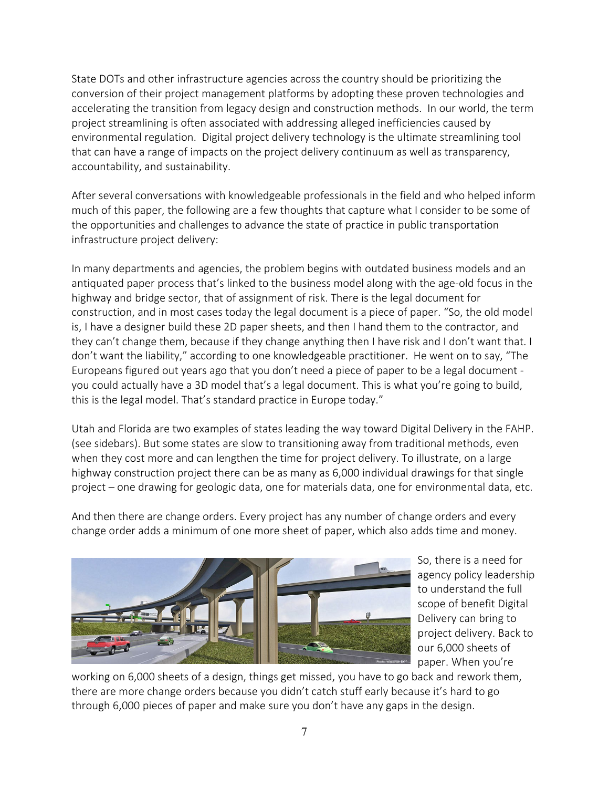State DOTs and other infrastructure agencies across the country should be prioritizing the conversion of their project management platforms by adopting these proven technologies and accelerating the transition from legacy design and construction methods. In our world, the term project streamlining is often associated with addressing alleged inefficiencies caused by environmental regulation. Digital project delivery technology is the ultimate streamlining tool that can have a range of impacts on the project delivery continuum as well as transparency, accountability, and sustainability.

After several conversations with knowledgeable professionals in the field and who helped inform much of this paper, the following are a few thoughts that capture what I consider to be some of the opportunities and challenges to advance the state of practice in public transportation infrastructure project delivery:

In many departments and agencies, the problem begins with outdated business models and an antiquated paper process that's linked to the business model along with the age-old focus in the highway and bridge sector, that of assignment of risk. There is the legal document for construction, and in most cases today the legal document is a piece of paper. "So, the old model is, I have a designer build these 2D paper sheets, and then I hand them to the contractor, and they can't change them, because if they change anything then I have risk and I don't want that. I don't want the liability," according to one knowledgeable practitioner. He went on to say, "The Europeans figured out years ago that you don't need a piece of paper to be a legal document you could actually have a 3D model that's a legal document. This is what you're going to build, this is the legal model. That's standard practice in Europe today."

Utah and Florida are two examples of states leading the way toward Digital Delivery in the FAHP. (see sidebars). But some states are slow to transitioning away from traditional methods, even when they cost more and can lengthen the time for project delivery. To illustrate, on a large highway construction project there can be as many as 6,000 individual drawings for that single project – one drawing for geologic data, one for materials data, one for environmental data, etc.

And then there are change orders. Every project has any number of change orders and every change order adds a minimum of one more sheet of paper, which also adds time and money.



So, there is a need for agency policy leadership to understand the full scope of benefit Digital Delivery can bring to project delivery. Back to our 6,000 sheets of paper. When you're

working on 6,000 sheets of a design, things get missed, you have to go back and rework them, there are more change orders because you didn't catch stuff early because it's hard to go through 6,000 pieces of paper and make sure you don't have any gaps in the design.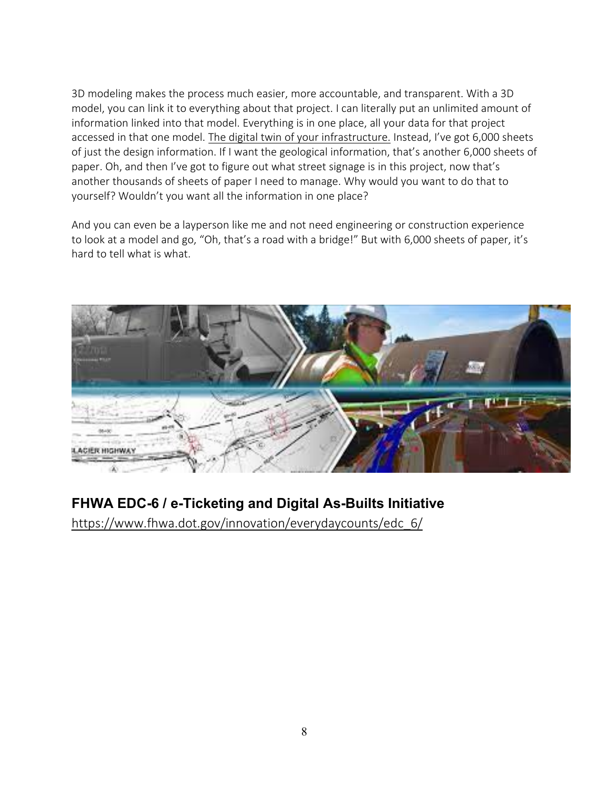3D modeling makes the process much easier, more accountable, and transparent. With a 3D model, you can link it to everything about that project. I can literally put an unlimited amount of information linked into that model. Everything is in one place, all your data for that project accessed in that one model. The digital twin of your infrastructure. Instead, I've got 6,000 sheets of just the design information. If I want the geological information, that's another 6,000 sheets of paper. Oh, and then I've got to figure out what street signage is in this project, now that's another thousands of sheets of paper I need to manage. Why would you want to do that to yourself? Wouldn't you want all the information in one place?

And you can even be a layperson like me and not need engineering or construction experience to look at a model and go, "Oh, that's a road with a bridge!" But with 6,000 sheets of paper, it's hard to tell what is what.



## **FHWA EDC-6 / e-Ticketing and Digital As-Builts Initiative**

[https://www.fhwa.dot.gov/innovation/everydaycounts/edc\\_6/](https://www.fhwa.dot.gov/innovation/everydaycounts/edc_6/)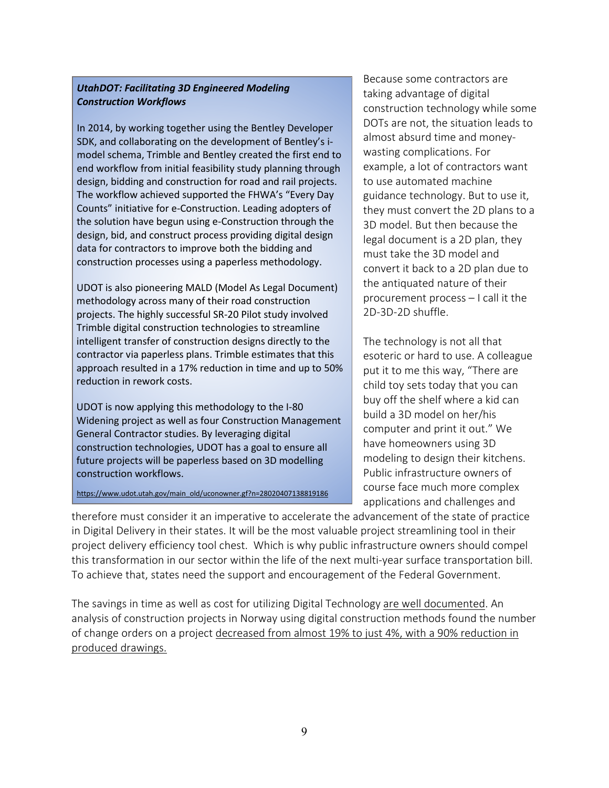#### *UtahDOT: Facilitating 3D Engineered Modeling Construction Workflows*

In 2014, by working together using the Bentley Developer SDK, and collaborating on the development of Bentley's imodel schema, Trimble and Bentley created the first end to end workflow from initial feasibility study planning through design, bidding and construction for road and rail projects. The workflow achieved supported the FHWA's "Every Day Counts" initiative for e-Construction. Leading adopters of the solution have begun using e-Construction through the design, bid, and construct process providing digital design data for contractors to improve both the bidding and construction processes using a paperless methodology.

UDOT is also pioneering MALD (Model As Legal Document) methodology across many of their road construction projects. The highly successful SR-20 Pilot study involved Trimble digital construction technologies to streamline intelligent transfer of construction designs directly to the contractor via paperless plans. Trimble estimates that this approach resulted in a 17% reduction in time and up to 50% reduction in rework costs.

UDOT is now applying this methodology to the I-80 Widening project as well as four Construction Management General Contractor studies. By leveraging digital construction technologies, UDOT has a goal to ensure all future projects will be paperless based on 3D modelling construction workflows.

[https://www.udot.utah.gov/main\\_old/uconowner.gf?n=28020407138819186](https://www.udot.utah.gov/main_old/uconowner.gf?n=28020407138819186)

Because some contractors are taking advantage of digital construction technology while some DOTs are not, the situation leads to almost absurd time and moneywasting complications. For example, a lot of contractors want to use automated machine guidance technology. But to use it, they must convert the 2D plans to a 3D model. But then because the legal document is a 2D plan, they must take the 3D model and convert it back to a 2D plan due to the antiquated nature of their procurement process – I call it the 2D-3D-2D shuffle.

The technology is not all that esoteric or hard to use. A colleague put it to me this way, "There are child toy sets today that you can buy off the shelf where a kid can build a 3D model on her/his computer and print it out." We have homeowners using 3D modeling to design their kitchens. Public infrastructure owners of course face much more complex applications and challenges and

therefore must consider it an imperative to accelerate the advancement of the state of practice in Digital Delivery in their states. It will be the most valuable project streamlining tool in their project delivery efficiency tool chest. Which is why public infrastructure owners should compel this transformation in our sector within the life of the next multi-year surface transportation bill. To achieve that, states need the support and encouragement of the Federal Government.

The savings in time as well as cost for utilizing Digital Technology are well [documented.](https://www.fhwa.dot.gov/innovation/everydaycounts/about-edc.cfm) An analysis of construction projects in Norway using digital construction methods found the number of change orders on a project decreased from almost 19% to just 4%, with a 90% reduction in produced drawings.